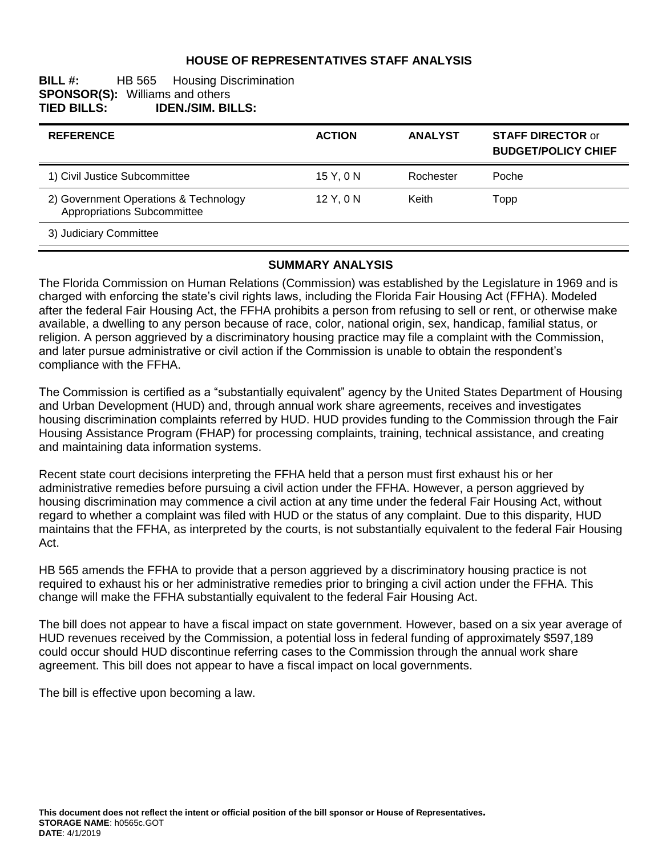## **HOUSE OF REPRESENTATIVES STAFF ANALYSIS**

#### **BILL #:** HB 565 Housing Discrimination **SPONSOR(S): Williams and others <br>TIED BILLS: <b>IDEN./SIM. BI TIED BILLS: IDEN./SIM. BILLS:**

| <b>REFERENCE</b>                                                     | <b>ACTION</b> | <b>ANALYST</b> | <b>STAFF DIRECTOR or</b><br><b>BUDGET/POLICY CHIEF</b> |
|----------------------------------------------------------------------|---------------|----------------|--------------------------------------------------------|
| 1) Civil Justice Subcommittee                                        | 15 Y.ON       | Rochester      | Poche                                                  |
| 2) Government Operations & Technology<br>Appropriations Subcommittee | $12$ Y, 0 N   | Keith          | Topp                                                   |
| 3) Judiciary Committee                                               |               |                |                                                        |

#### **SUMMARY ANALYSIS**

The Florida Commission on Human Relations (Commission) was established by the Legislature in 1969 and is charged with enforcing the state's civil rights laws, including the Florida Fair Housing Act (FFHA). Modeled after the federal Fair Housing Act, the FFHA prohibits a person from refusing to sell or rent, or otherwise make available, a dwelling to any person because of race, color, national origin, sex, handicap, familial status, or religion. A person aggrieved by a discriminatory housing practice may file a complaint with the Commission, and later pursue administrative or civil action if the Commission is unable to obtain the respondent's compliance with the FFHA.

The Commission is certified as a "substantially equivalent" agency by the United States Department of Housing and Urban Development (HUD) and, through annual work share agreements, receives and investigates housing discrimination complaints referred by HUD. HUD provides funding to the Commission through the Fair Housing Assistance Program (FHAP) for processing complaints, training, technical assistance, and creating and maintaining data information systems.

Recent state court decisions interpreting the FFHA held that a person must first exhaust his or her administrative remedies before pursuing a civil action under the FFHA. However, a person aggrieved by housing discrimination may commence a civil action at any time under the federal Fair Housing Act, without regard to whether a complaint was filed with HUD or the status of any complaint. Due to this disparity, HUD maintains that the FFHA, as interpreted by the courts, is not substantially equivalent to the federal Fair Housing Act.

HB 565 amends the FFHA to provide that a person aggrieved by a discriminatory housing practice is not required to exhaust his or her administrative remedies prior to bringing a civil action under the FFHA. This change will make the FFHA substantially equivalent to the federal Fair Housing Act.

The bill does not appear to have a fiscal impact on state government. However, based on a six year average of HUD revenues received by the Commission, a potential loss in federal funding of approximately \$597,189 could occur should HUD discontinue referring cases to the Commission through the annual work share agreement. This bill does not appear to have a fiscal impact on local governments.

The bill is effective upon becoming a law.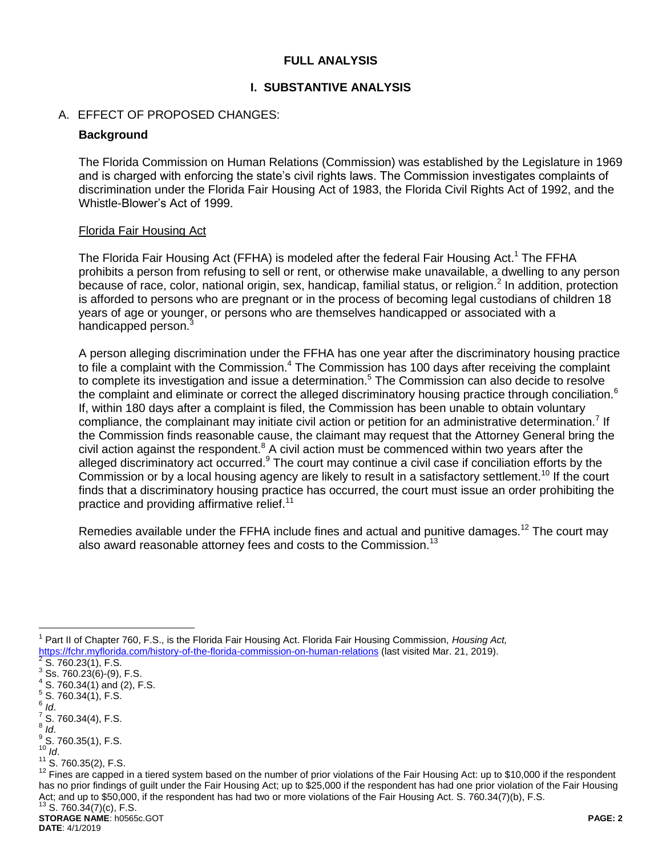### **FULL ANALYSIS**

#### **I. SUBSTANTIVE ANALYSIS**

#### A. EFFECT OF PROPOSED CHANGES:

#### **Background**

The Florida Commission on Human Relations (Commission) was established by the Legislature in 1969 and is charged with enforcing the state's civil rights laws. The Commission investigates complaints of discrimination under the Florida Fair Housing Act of 1983, the Florida Civil Rights Act of 1992, and the Whistle-Blower's Act of 1999.

#### Florida Fair Housing Act

The Florida Fair Housing Act (FFHA) is modeled after the federal Fair Housing Act.<sup>1</sup> The FFHA prohibits a person from refusing to sell or rent, or otherwise make unavailable, a dwelling to any person because of race, color, national origin, sex, handicap, familial status, or religion.<sup>2</sup> In addition, protection is afforded to persons who are pregnant or in the process of becoming legal custodians of children 18 years of age or younger, or persons who are themselves handicapped or associated with a handicapped person.<sup>3</sup>

A person alleging discrimination under the FFHA has one year after the discriminatory housing practice to file a complaint with the Commission.<sup>4</sup> The Commission has 100 days after receiving the complaint to complete its investigation and issue a determination.<sup>5</sup> The Commission can also decide to resolve the complaint and eliminate or correct the alleged discriminatory housing practice through conciliation.<sup>6</sup> If, within 180 days after a complaint is filed, the Commission has been unable to obtain voluntary compliance, the complainant may initiate civil action or petition for an administrative determination.<sup>7</sup> If the Commission finds reasonable cause, the claimant may request that the Attorney General bring the civil action against the respondent. $8$  A civil action must be commenced within two years after the alleged discriminatory act occurred.<sup>9</sup> The court may continue a civil case if conciliation efforts by the Commission or by a local housing agency are likely to result in a satisfactory settlement.<sup>10</sup> If the court finds that a discriminatory housing practice has occurred, the court must issue an order prohibiting the practice and providing affirmative relief.<sup>11</sup>

Remedies available under the FFHA include fines and actual and punitive damages.<sup>12</sup> The court may also award reasonable attorney fees and costs to the Commission.<sup>13</sup>

6 *Id*.

 $\overline{a}$ 

- $\frac{7}{1}$  S. 760.34(4), F.S.
- 8 *Id*.

<sup>1</sup> Part II of Chapter 760, F.S., is the Florida Fair Housing Act. Florida Fair Housing Commission, *Housing Act,*  https://fchr.myflorida.com/history-of-the-florida-commission-on-human-relations (last visited Mar. 21, 2019).<br><sup>2</sup> S 760,22(1), E S

S. 760.23(1), F.S.

 $3$  Ss. 760.23(6)-(9), F.S.  $4$  S. 760.34(1) and (2), F.S.

 $5^5$  S. 760.34(1), F.S.

 $\frac{9}{5}$  S. 760.35(1), F.S.  $10^{10}$  *Id.* 

 $11^{11}$  S. 760.35(2), F.S.

 $12$  Fines are capped in a tiered system based on the number of prior violations of the Fair Housing Act: up to \$10,000 if the respondent has no prior findings of guilt under the Fair Housing Act; up to \$25,000 if the respondent has had one prior violation of the Fair Housing Act; and up to \$50,000, if the respondent has had two or more violations of the Fair Housing Act. S. 760.34(7)(b), F.S.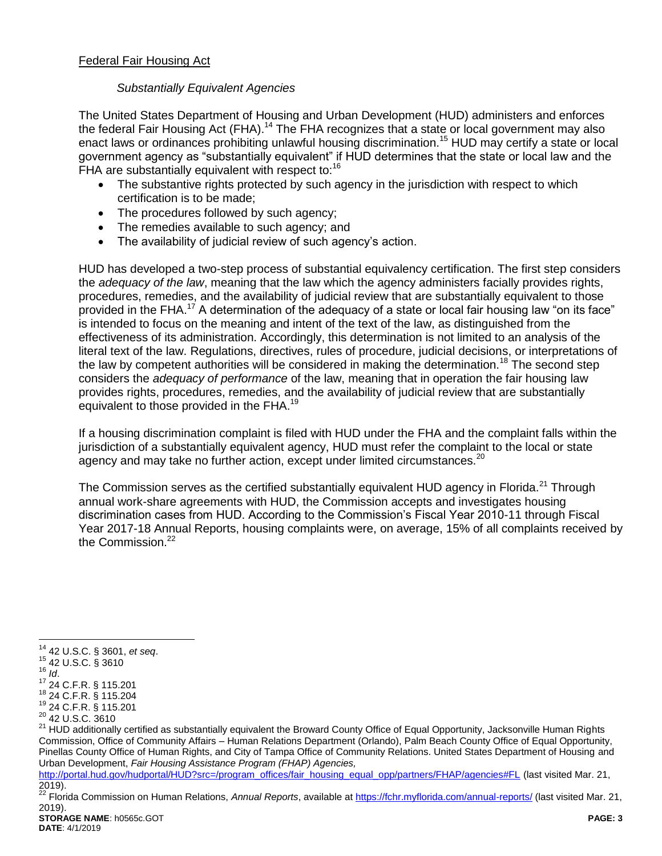## *Substantially Equivalent Agencies*

The United States Department of Housing and Urban Development (HUD) administers and enforces the federal Fair Housing Act (FHA).<sup>14</sup> The FHA recognizes that a state or local government may also enact laws or ordinances prohibiting unlawful housing discrimination.<sup>15</sup> HUD may certify a state or local government agency as "substantially equivalent" if HUD determines that the state or local law and the FHA are substantially equivalent with respect to:<sup>16</sup>

- The substantive rights protected by such agency in the jurisdiction with respect to which certification is to be made;
- The procedures followed by such agency;
- The remedies available to such agency; and
- The availability of judicial review of such agency's action.

HUD has developed a two-step process of substantial equivalency certification. The first step considers the *adequacy of the law*, meaning that the law which the agency administers facially provides rights, procedures, remedies, and the availability of judicial review that are substantially equivalent to those provided in the FHA. <sup>17</sup> A determination of the adequacy of a state or local fair housing law "on its face" is intended to focus on the meaning and intent of the text of the law, as distinguished from the effectiveness of its administration. Accordingly, this determination is not limited to an analysis of the literal text of the law. Regulations, directives, rules of procedure, judicial decisions, or interpretations of the law by competent authorities will be considered in making the determination.<sup>18</sup> The second step considers the *adequacy of performance* of the law, meaning that in operation the fair housing law provides rights, procedures, remedies, and the availability of judicial review that are substantially equivalent to those provided in the FHA.<sup>19</sup>

If a housing discrimination complaint is filed with HUD under the FHA and the complaint falls within the jurisdiction of a substantially equivalent agency, HUD must refer the complaint to the local or state agency and may take no further action, except under limited circumstances.<sup>20</sup>

The Commission serves as the certified substantially equivalent HUD agency in Florida.<sup>21</sup> Through annual work-share agreements with HUD, the Commission accepts and investigates housing discrimination cases from HUD. According to the Commission's Fiscal Year 2010-11 through Fiscal Year 2017-18 Annual Reports, housing complaints were, on average, 15% of all complaints received by the Commission.<sup>22</sup>

<sup>15</sup> 42 U.S.C. § 3610 <sup>16</sup> *Id*.

 $\overline{a}$ 

<sup>14</sup> 42 U.S.C. § 3601, *et seq*.

<sup>17</sup> 24 C.F.R. § 115.201

<sup>18</sup> 24 C.F.R. § 115.204 <sup>19</sup> 24 C.F.R. § 115.201

<sup>&</sup>lt;sup>20</sup> 42 U.S.C. 3610

<sup>&</sup>lt;sup>21</sup> HUD additionally certified as substantially equivalent the Broward County Office of Equal Opportunity, Jacksonville Human Rights Commission, Office of Community Affairs – Human Relations Department (Orlando), Palm Beach County Office of Equal Opportunity, Pinellas County Office of Human Rights, and City of Tampa Office of Community Relations. United States Department of Housing and Urban Development, *Fair Housing Assistance Program (FHAP) Agencies,* 

[http://portal.hud.gov/hudportal/HUD?src=/program\\_offices/fair\\_housing\\_equal\\_opp/partners/FHAP/agencies#FL](http://portal.hud.gov/hudportal/HUD?src=/program_offices/fair_housing_equal_opp/partners/FHAP/agencies#FL) (last visited Mar. 21, 2019).

**STORAGE NAME**: h0565c.GOT **PAGE: 3** <sup>22</sup> Florida Commission on Human Relations, *Annual Reports*, available at<https://fchr.myflorida.com/annual-reports/> (last visited Mar. 21, 2019).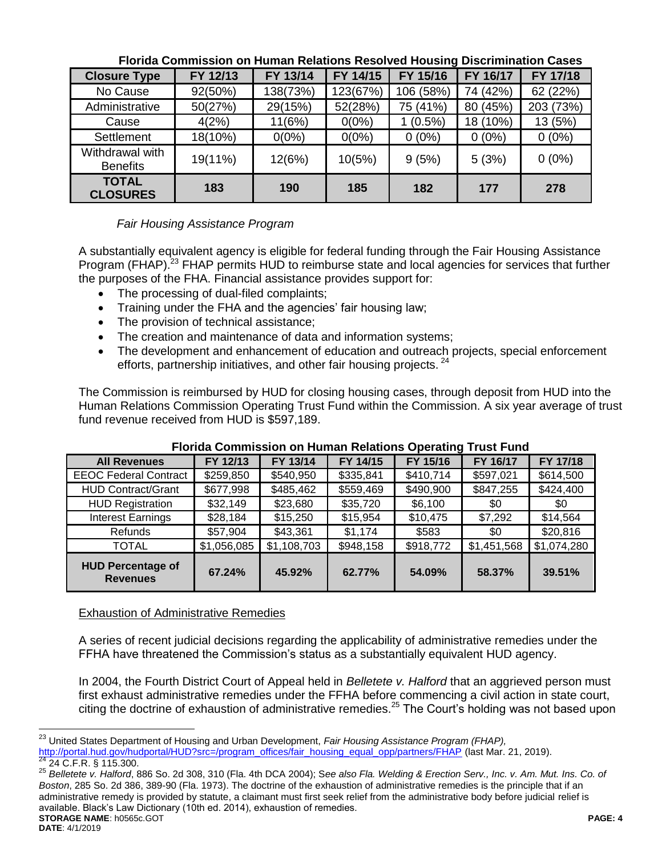| סטטטט וועסטער ווייטטו און דער איז דעסטער טווענומוט וועסטער ווייט ווייט וועסטוווייט ווייט ווייט ווייט ו |          |          |          |            |          |           |  |
|--------------------------------------------------------------------------------------------------------|----------|----------|----------|------------|----------|-----------|--|
| <b>Closure Type</b>                                                                                    | FY 12/13 | FY 13/14 | FY 14/15 | FY 15/16   | FY 16/17 | FY 17/18  |  |
| No Cause                                                                                               | 92(50%)  | 138(73%) | 123(67%) | 106 (58%)  | 74 (42%) | 62 (22%)  |  |
| Administrative                                                                                         | 50(27%)  | 29(15%)  | 52(28%)  | 75 (41%)   | 80 (45%) | 203 (73%) |  |
| Cause                                                                                                  | 4(2%)    | 11(6%)   | $0(0\%)$ | $1(0.5\%)$ | 18 (10%) | 13 (5%)   |  |
| Settlement                                                                                             | 18(10%)  | $0(0\%)$ | $0(0\%)$ | $0(0\%)$   | $0(0\%)$ | $0(0\%)$  |  |
| Withdrawal with<br><b>Benefits</b>                                                                     | 19(11%)  | 12(6%)   | 10(5%)   | 9(5%)      | 5(3%)    | $0(0\%)$  |  |
| <b>TOTAL</b><br><b>CLOSURES</b>                                                                        | 183      | 190      | 185      | 182        | 177      | 278       |  |

### **Florida Commission on Human Relations Resolved Housing Discrimination Cases**

## *Fair Housing Assistance Program*

A substantially equivalent agency is eligible for federal funding through the Fair Housing Assistance Program (FHAP).<sup>23</sup> FHAP permits HUD to reimburse state and local agencies for services that further the purposes of the FHA. Financial assistance provides support for:

- The processing of dual-filed complaints;
- Training under the FHA and the agencies' fair housing law;
- The provision of technical assistance;
- The creation and maintenance of data and information systems;
- The development and enhancement of education and outreach projects, special enforcement efforts, partnership initiatives, and other fair housing projects.<sup>24</sup>

The Commission is reimbursed by HUD for closing housing cases, through deposit from HUD into the Human Relations Commission Operating Trust Fund within the Commission. A six year average of trust fund revenue received from HUD is \$597,189.

| $\overline{\phantom{a}}$                    |             |             |           |           |             |             |  |  |
|---------------------------------------------|-------------|-------------|-----------|-----------|-------------|-------------|--|--|
| <b>All Revenues</b>                         | FY 12/13    | FY 13/14    | FY 14/15  | FY 15/16  | FY 16/17    | FY 17/18    |  |  |
| <b>EEOC Federal Contract</b>                | \$259,850   | \$540,950   | \$335,841 | \$410,714 | \$597,021   | \$614,500   |  |  |
| <b>HUD Contract/Grant</b>                   | \$677,998   | \$485,462   | \$559,469 | \$490,900 | \$847,255   | \$424,400   |  |  |
| <b>HUD Registration</b>                     | \$32,149    | \$23,680    | \$35,720  | \$6,100   | \$0         | \$0         |  |  |
| <b>Interest Earnings</b>                    | \$28,184    | \$15,250    | \$15,954  | \$10,475  | \$7,292     | \$14,564    |  |  |
| Refunds                                     | \$57,904    | \$43,361    | \$1,174   | \$583     | \$0         | \$20,816    |  |  |
| <b>TOTAL</b>                                | \$1,056,085 | \$1,108,703 | \$948,158 | \$918,772 | \$1,451,568 | \$1,074,280 |  |  |
| <b>HUD Percentage of</b><br><b>Revenues</b> | 67.24%      | 45.92%      | 62.77%    | 54.09%    | 58.37%      | 39.51%      |  |  |

## **Florida Commission on Human Relations Operating Trust Fund**

## Exhaustion of Administrative Remedies

A series of recent judicial decisions regarding the applicability of administrative remedies under the FFHA have threatened the Commission's status as a substantially equivalent HUD agency.

In 2004, the Fourth District Court of Appeal held in *Belletete v. Halford* that an aggrieved person must first exhaust administrative remedies under the FFHA before commencing a civil action in state court, citing the doctrine of exhaustion of administrative remedies.<sup>25</sup> The Court's holding was not based upon

<sup>23</sup> <sup>23</sup> United States Department of Housing and Urban Development, *Fair Housing Assistance Program (FHAP),*  [http://portal.hud.gov/hudportal/HUD?src=/program\\_offices/fair\\_housing\\_equal\\_opp/partners/FHAP](http://portal.hud.gov/hudportal/HUD?src=/program_offices/fair_housing_equal_opp/partners/FHAP) (last Mar. 21, 2019).

<sup>24</sup> 24 C.F.R. § 115.300.

**STORAGE NAME**: h0565c.GOT **PAGE: 4** <sup>25</sup> *Belletete v. Halford*, 886 So. 2d 308, 310 (Fla. 4th DCA 2004); S*ee also Fla. Welding & Erection Serv., Inc. v. Am. Mut. Ins. Co. of Boston*, 285 So. 2d 386, 389-90 (Fla. 1973). The doctrine of the exhaustion of administrative remedies is the principle that if an administrative remedy is provided by statute, a claimant must first seek relief from the administrative body before judicial relief is available. Black's Law Dictionary (10th ed. 2014), exhaustion of remedies.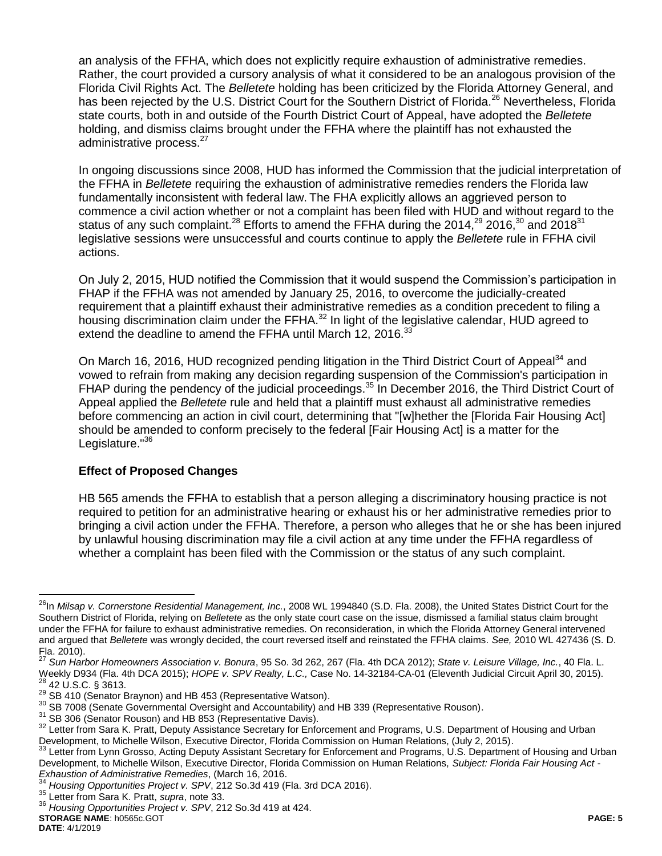an analysis of the FFHA, which does not explicitly require exhaustion of administrative remedies. Rather, the court provided a cursory analysis of what it considered to be an analogous provision of the Florida Civil Rights Act. The *Belletete* holding has been criticized by the Florida Attorney General, and has been rejected by the U.S. District Court for the Southern District of Florida.<sup>26</sup> Nevertheless, Florida state courts, both in and outside of the Fourth District Court of Appeal, have adopted the *Belletete*  holding, and dismiss claims brought under the FFHA where the plaintiff has not exhausted the administrative process.<sup>27</sup>

In ongoing discussions since 2008, HUD has informed the Commission that the judicial interpretation of the FFHA in *Belletete* requiring the exhaustion of administrative remedies renders the Florida law fundamentally inconsistent with federal law. The FHA explicitly allows an aggrieved person to commence a civil action whether or not a complaint has been filed with HUD and without regard to the status of any such complaint.<sup>28</sup> Efforts to amend the FFHA during the 2014,<sup>29</sup> 2016,<sup>30</sup> and 2018<sup>31</sup> legislative sessions were unsuccessful and courts continue to apply the *Belletete* rule in FFHA civil actions.

On July 2, 2015, HUD notified the Commission that it would suspend the Commission's participation in FHAP if the FFHA was not amended by January 25, 2016, to overcome the judicially-created requirement that a plaintiff exhaust their administrative remedies as a condition precedent to filing a housing discrimination claim under the FFHA.<sup>32</sup> In light of the legislative calendar, HUD agreed to extend the deadline to amend the FFHA until March 12, 2016.<sup>33</sup>

<span id="page-4-0"></span>On March 16, 2016, HUD recognized pending litigation in the Third District Court of Appeal<sup>34</sup> and vowed to refrain from making any decision regarding suspension of the Commission's participation in FHAP during the pendency of the judicial proceedings.<sup>35</sup> In December 2016, the Third District Court of Appeal applied the *Belletete* rule and held that a plaintiff must exhaust all administrative remedies before commencing an action in civil court, determining that "[w]hether the [Florida Fair Housing Act] should be amended to conform precisely to the federal [Fair Housing Act] is a matter for the Legislature.<sup>"36</sup>

## **Effect of Proposed Changes**

HB 565 amends the FFHA to establish that a person alleging a discriminatory housing practice is not required to petition for an administrative hearing or exhaust his or her administrative remedies prior to bringing a civil action under the FFHA. Therefore, a person who alleges that he or she has been injured by unlawful housing discrimination may file a civil action at any time under the FFHA regardless of whether a complaint has been filed with the Commission or the status of any such complaint.

 $\overline{a}$ <sup>26</sup>In *Milsap v. Cornerstone Residential Management, Inc.*, 2008 WL 1994840 (S.D. Fla. 2008), the United States District Court for the Southern District of Florida, relying on *Belletete* as the only state court case on the issue, dismissed a familial status claim brought under the FFHA for failure to exhaust administrative remedies. On reconsideration, in which the Florida Attorney General intervened and argued that *Belletete* was wrongly decided, the court reversed itself and reinstated the FFHA claims. *See,* 2010 WL 427436 (S. D.  $\text{Fla. } 2010$ ).

<sup>27</sup> *Sun Harbor Homeowners Association v. Bonura*, 95 So. 3d 262, 267 (Fla. 4th DCA 2012); *State v. Leisure Village, Inc.*, 40 Fla. L. Weekly D934 (Fla. 4th DCA 2015); *HOPE v. SPV Realty, L.C.,* Case No. 14-32184-CA-01 (Eleventh Judicial Circuit April 30, 2015). <sup>28</sup> 42 U.S.C. § 3613.

<sup>&</sup>lt;sup>29</sup> SB 410 (Senator Braynon) and HB 453 (Representative Watson).

 $30$  SB 7008 (Senate Governmental Oversight and Accountability) and HB 339 (Representative Rouson).

<sup>&</sup>lt;sup>31</sup> SB 306 (Senator Rouson) and HB 853 (Representative Davis).

<sup>&</sup>lt;sup>32</sup> Letter from Sara K. Pratt, Deputy Assistance Secretary for Enforcement and Programs, U.S. Department of Housing and Urban Development, to Michelle Wilson, Executive Director, Florida Commission on Human Relations, (July 2, 2015).<br><sup>33</sup> Letter from Lynn Crosse, Asting Deputy Assistant Secretary for Enforcement and Pregrame, U.S. Department

Letter from Lynn Grosso, Acting Deputy Assistant Secretary for Enforcement and Programs, U.S. Department of Housing and Urban Development, to Michelle Wilson, Executive Director, Florida Commission on Human Relations, *Subject: Florida Fair Housing Act - Exhaustion of Administrative Remedies*, (March 16, 2016.

<sup>34</sup> *Housing Opportunities Project v. SPV*, 212 So.3d 419 (Fla. 3rd DCA 2016).

<sup>35</sup> Letter from Sara K. Pratt, *supra*, note [33.](#page-4-0)

<sup>36</sup> *Housing Opportunities Project v. SPV*, 212 So.3d 419 at 424.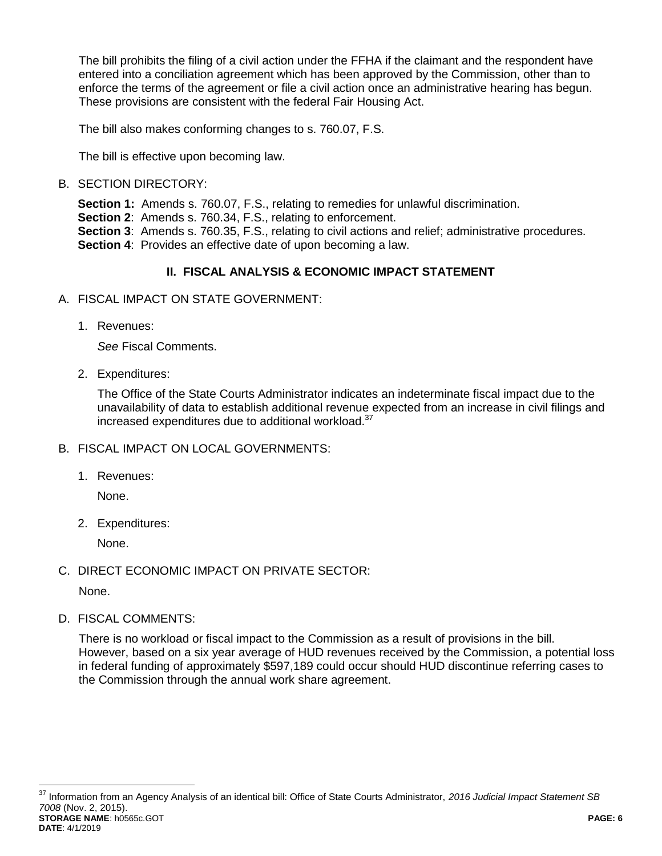The bill prohibits the filing of a civil action under the FFHA if the claimant and the respondent have entered into a conciliation agreement which has been approved by the Commission, other than to enforce the terms of the agreement or file a civil action once an administrative hearing has begun. These provisions are consistent with the federal Fair Housing Act.

The bill also makes conforming changes to s. 760.07, F.S.

The bill is effective upon becoming law.

# B. SECTION DIRECTORY:

**Section 1:** Amends s. 760.07, F.S., relating to remedies for unlawful discrimination.

**Section 2:** Amends s. 760.34, F.S., relating to enforcement.

**Section 3**: Amends s. 760.35, F.S., relating to civil actions and relief; administrative procedures. **Section 4:** Provides an effective date of upon becoming a law.

# **II. FISCAL ANALYSIS & ECONOMIC IMPACT STATEMENT**

- A. FISCAL IMPACT ON STATE GOVERNMENT:
	- 1. Revenues:

*See* Fiscal Comments.

2. Expenditures:

The Office of the State Courts Administrator indicates an indeterminate fiscal impact due to the unavailability of data to establish additional revenue expected from an increase in civil filings and increased expenditures due to additional workload. $37$ 

- B. FISCAL IMPACT ON LOCAL GOVERNMENTS:
	- 1. Revenues:

None.

2. Expenditures:

None.

C. DIRECT ECONOMIC IMPACT ON PRIVATE SECTOR:

None.

 $\overline{a}$ 

D. FISCAL COMMENTS:

There is no workload or fiscal impact to the Commission as a result of provisions in the bill. However, based on a six year average of HUD revenues received by the Commission, a potential loss in federal funding of approximately \$597,189 could occur should HUD discontinue referring cases to the Commission through the annual work share agreement.

**STORAGE NAME**: h0565c.GOT **PAGE: 6 DATE**: 4/1/2019 <sup>37</sup> Information from an Agency Analysis of an identical bill: Office of State Courts Administrator, *2016 Judicial Impact Statement SB 7008* (Nov. 2, 2015).